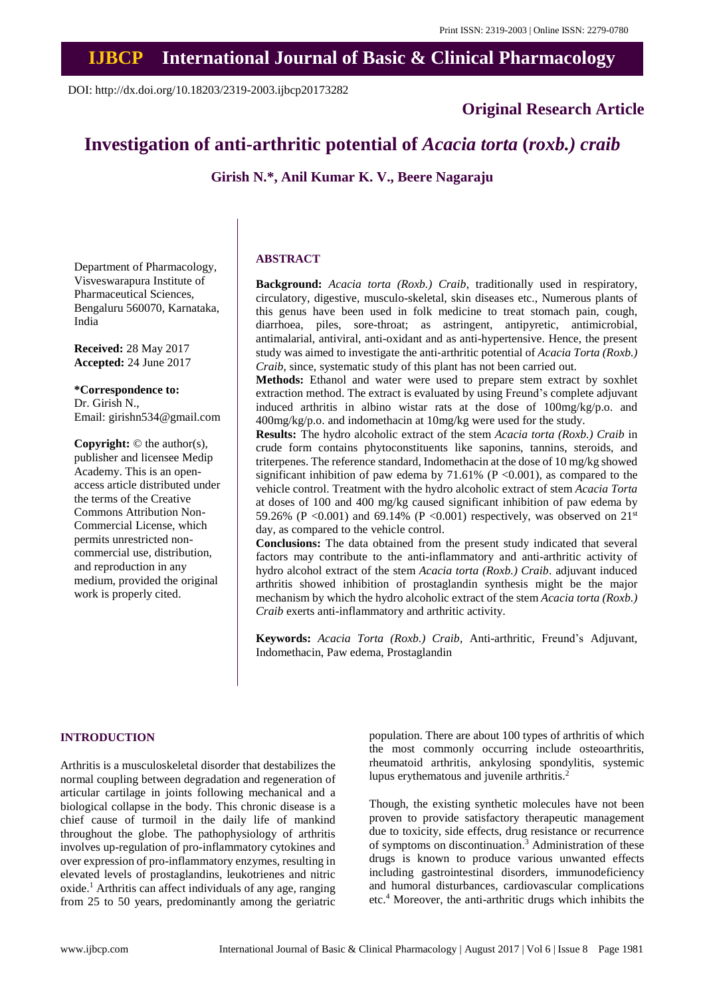# **IJBCP International Journal of Basic & Clinical Pharmacology**

DOI: http://dx.doi.org/10.18203/2319-2003.ijbcp20173282

# **Original Research Article**

# **Investigation of anti-arthritic potential of** *Acacia torta* **(***roxb.) craib*

**Girish N.\*, Anil Kumar K. V., Beere Nagaraju**

Department of Pharmacology, Visveswarapura Institute of Pharmaceutical Sciences, Bengaluru 560070, Karnataka, India

**Received:** 28 May 2017 **Accepted:** 24 June 2017

**\*Correspondence to:** Dr. Girish N., Email: girishn534@gmail.com

**Copyright:** © the author(s), publisher and licensee Medip Academy. This is an openaccess article distributed under the terms of the Creative Commons Attribution Non-Commercial License, which permits unrestricted noncommercial use, distribution, and reproduction in any medium, provided the original work is properly cited.

#### **ABSTRACT**

**Background:** *Acacia torta (Roxb.) Craib*, traditionally used in respiratory, circulatory, digestive, musculo-skeletal, skin diseases etc., Numerous plants of this genus have been used in folk medicine to treat stomach pain, cough, diarrhoea, piles, sore-throat; as astringent, antipyretic, antimicrobial, antimalarial, antiviral, anti-oxidant and as anti-hypertensive. Hence, the present study was aimed to investigate the anti‐arthritic potential of *Acacia Torta (Roxb.) Craib*, since, systematic study of this plant has not been carried out.

**Methods:** Ethanol and water were used to prepare stem extract by soxhlet extraction method. The extract is evaluated by using Freund's complete adjuvant induced arthritis in albino wistar rats at the dose of 100mg/kg/p.o. and 400mg/kg/p.o. and indomethacin at 10mg/kg were used for the study.

**Results:** The hydro alcoholic extract of the stem *Acacia torta (Roxb.) Craib* in crude form contains phytoconstituents like saponins, tannins, steroids, and triterpenes. The reference standard, Indomethacin at the dose of 10 mg/kg showed significant inhibition of paw edema by 71.61% ( $P \le 0.001$ ), as compared to the vehicle control. Treatment with the hydro alcoholic extract of stem *Acacia Torta* at doses of 100 and 400 mg/kg caused significant inhibition of paw edema by 59.26% (P < 0.001) and 69.14% (P < 0.001) respectively, was observed on  $21<sup>st</sup>$ day, as compared to the vehicle control.

**Conclusions:** The data obtained from the present study indicated that several factors may contribute to the anti-inflammatory and anti-arthritic activity of hydro alcohol extract of the stem *Acacia torta (Roxb.) Craib*. adjuvant induced arthritis showed inhibition of prostaglandin synthesis might be the major mechanism by which the hydro alcoholic extract of the stem *Acacia torta (Roxb.) Craib* exerts anti-inflammatory and arthritic activity.

**Keywords:** *Acacia Torta (Roxb.) Craib*, Anti-arthritic, Freund's Adjuvant, Indomethacin, Paw edema, Prostaglandin

#### **INTRODUCTION**

Arthritis is a musculoskeletal disorder that destabilizes the normal coupling between degradation and regeneration of articular cartilage in joints following mechanical and a biological collapse in the body. This chronic disease is a chief cause of turmoil in the daily life of mankind throughout the globe. The pathophysiology of arthritis involves up-regulation of pro-inflammatory cytokines and over expression of pro-inflammatory enzymes, resulting in elevated levels of prostaglandins, leukotrienes and nitric oxide. <sup>1</sup> Arthritis can affect individuals of any age, ranging from 25 to 50 years, predominantly among the geriatric population. There are about 100 types of arthritis of which the most commonly occurring include osteoarthritis, rheumatoid arthritis, ankylosing spondylitis, systemic lupus erythematous and juvenile arthritis. 2

Though, the existing synthetic molecules have not been proven to provide satisfactory therapeutic management due to toxicity, side effects, drug resistance or recurrence of symptoms on discontinuation. <sup>3</sup> Administration of these drugs is known to produce various unwanted effects including gastrointestinal disorders, immunodeficiency and humoral disturbances, cardiovascular complications etc. <sup>4</sup> Moreover, the anti-arthritic drugs which inhibits the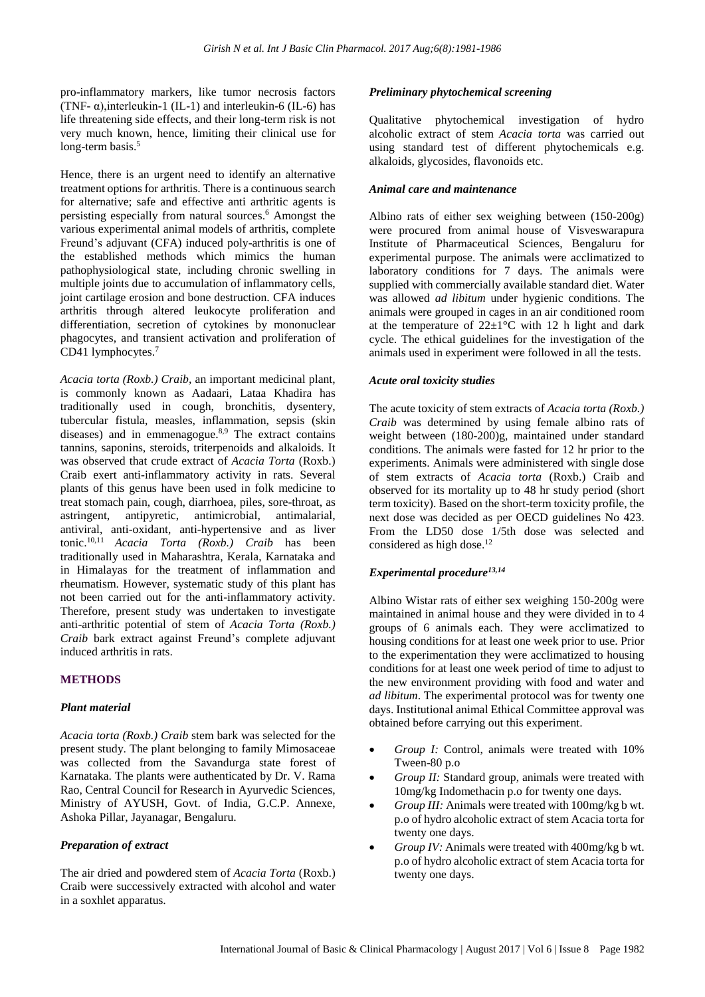pro-inflammatory markers, like tumor necrosis factors (TNF- $\alpha$ ), interleukin-1 (IL-1) and interleukin-6 (IL-6) has life threatening side effects, and their long-term risk is not very much known, hence, limiting their clinical use for long-term basis.<sup>5</sup>

Hence, there is an urgent need to identify an alternative treatment options for arthritis. There is a continuous search for alternative; safe and effective anti arthritic agents is persisting especially from natural sources. <sup>6</sup> Amongst the various experimental animal models of arthritis, complete Freund's adjuvant (CFA) induced poly-arthritis is one of the established methods which mimics the human pathophysiological state, including chronic swelling in multiple joints due to accumulation of inflammatory cells, joint cartilage erosion and bone destruction. CFA induces arthritis through altered leukocyte proliferation and differentiation, secretion of cytokines by mononuclear phagocytes, and transient activation and proliferation of CD41 lymphocytes. 7

*Acacia torta (Roxb.) Craib,* an important medicinal plant, is commonly known as Aadaari, Lataa Khadira has traditionally used in cough, bronchitis, dysentery, tubercular fistula, measles, inflammation, sepsis (skin diseases) and in emmenagogue.<sup>8,9</sup> The extract contains tannins, saponins, steroids, triterpenoids and alkaloids. It was observed that crude extract of *Acacia Torta* (Roxb.) Craib exert anti-inflammatory activity in rats. Several plants of this genus have been used in folk medicine to treat stomach pain, cough, diarrhoea, piles, sore-throat, as astringent, antipyretic, antimicrobial, antimalarial, antiviral, anti-oxidant, anti-hypertensive and as liver tonic. 10,11 *Acacia Torta (Roxb.) Craib* has been traditionally used in Maharashtra, Kerala, Karnataka and in Himalayas for the treatment of inflammation and rheumatism. However, systematic study of this plant has not been carried out for the anti-inflammatory activity. Therefore, present study was undertaken to investigate anti-arthritic potential of stem of *Acacia Torta (Roxb.) Craib* bark extract against Freund's complete adjuvant induced arthritis in rats.

# **METHODS**

# *Plant material*

*Acacia torta (Roxb.) Craib* stem bark was selected for the present study. The plant belonging to family Mimosaceae was collected from the Savandurga state forest of Karnataka. The plants were authenticated by Dr. V. Rama Rao, Central Council for Research in Ayurvedic Sciences, Ministry of AYUSH, Govt. of India, G.C.P. Annexe, Ashoka Pillar, Jayanagar, Bengaluru.

# *Preparation of extract*

The air dried and powdered stem of *Acacia Torta* (Roxb.) Craib were successively extracted with alcohol and water in a soxhlet apparatus.

#### *Preliminary phytochemical screening*

Qualitative phytochemical investigation of hydro alcoholic extract of stem *Acacia torta* was carried out using standard test of different phytochemicals e.g. alkaloids, glycosides, flavonoids etc.

#### *Animal care and maintenance*

Albino rats of either sex weighing between (150-200g) were procured from animal house of Visveswarapura Institute of Pharmaceutical Sciences, Bengaluru for experimental purpose. The animals were acclimatized to laboratory conditions for 7 days. The animals were supplied with commercially available standard diet. Water was allowed *ad libitum* under hygienic conditions. The animals were grouped in cages in an air conditioned room at the temperature of 22±1**°**C with 12 h light and dark cycle. The ethical guidelines for the investigation of the animals used in experiment were followed in all the tests.

#### *Acute oral toxicity studies*

The acute toxicity of stem extracts of *Acacia torta (Roxb.) Craib* was determined by using female albino rats of weight between (180-200)g, maintained under standard conditions. The animals were fasted for 12 hr prior to the experiments. Animals were administered with single dose of stem extracts of *Acacia torta* (Roxb.) Craib and observed for its mortality up to 48 hr study period (short term toxicity). Based on the short-term toxicity profile, the next dose was decided as per OECD guidelines No 423. From the LD50 dose 1/5th dose was selected and considered as high dose. 12

# *Experimental procedure13,14*

Albino Wistar rats of either sex weighing 150-200g were maintained in animal house and they were divided in to 4 groups of 6 animals each. They were acclimatized to housing conditions for at least one week prior to use. Prior to the experimentation they were acclimatized to housing conditions for at least one week period of time to adjust to the new environment providing with food and water and *ad libitum*. The experimental protocol was for twenty one days. Institutional animal Ethical Committee approval was obtained before carrying out this experiment.

- *Group I:* Control, animals were treated with 10% Tween-80 p.o
- *Group II:* Standard group, animals were treated with 10mg/kg Indomethacin p.o for twenty one days.
- *Group III:* Animals were treated with 100mg/kg b wt. p.o of hydro alcoholic extract of stem Acacia torta for twenty one days.
- *Group IV:* Animals were treated with 400mg/kg b wt. p.o of hydro alcoholic extract of stem Acacia torta for twenty one days.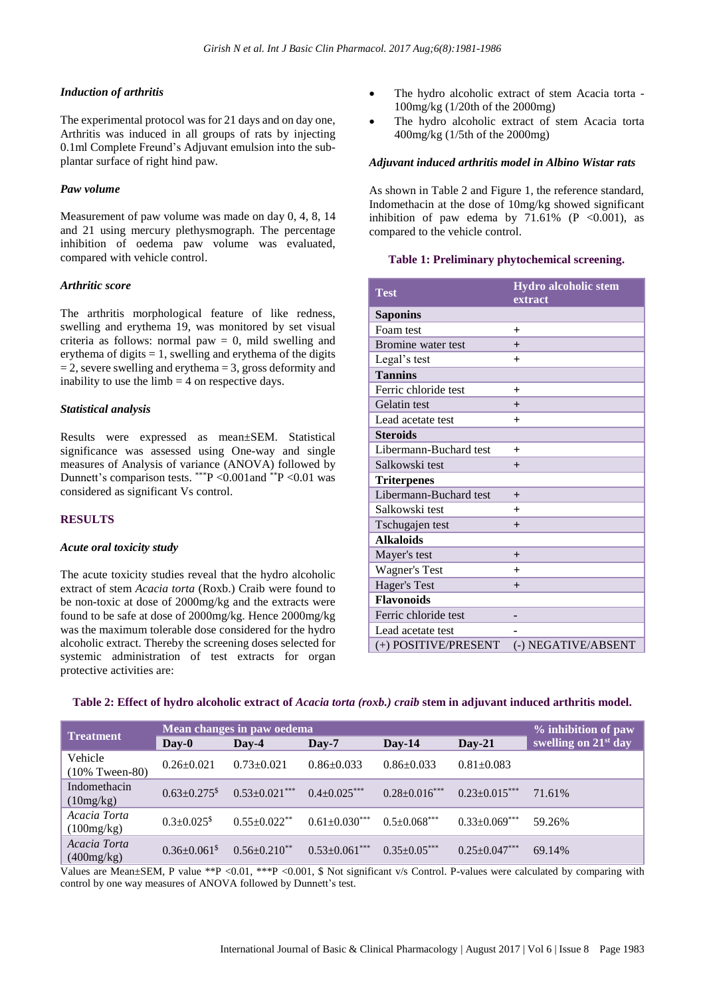#### *Induction of arthritis*

The experimental protocol was for 21 days and on day one, Arthritis was induced in all groups of rats by injecting 0.1ml Complete Freund's Adjuvant emulsion into the subplantar surface of right hind paw.

#### *Paw volume*

Measurement of paw volume was made on day 0, 4, 8, 14 and 21 using mercury plethysmograph. The percentage inhibition of oedema paw volume was evaluated, compared with vehicle control.

#### *Arthritic score*

The arthritis morphological feature of like redness, swelling and erythema 19, was monitored by set visual criteria as follows: normal paw  $= 0$ , mild swelling and erythema of digits  $= 1$ , swelling and erythema of the digits  $= 2$ , severe swelling and erythema  $= 3$ , gross deformity and inability to use the  $limb = 4$  on respective days.

#### *Statistical analysis*

Results were expressed as mean±SEM. Statistical significance was assessed using One-way and single measures of Analysis of variance (ANOVA) followed by Dunnett's comparison tests. \*\*\*P <0.001 and \*\*P <0.01 was considered as significant Vs control.

#### **RESULTS**

#### *Acute oral toxicity study*

The acute toxicity studies reveal that the hydro alcoholic extract of stem *Acacia torta* (Roxb.) Craib were found to be non-toxic at dose of 2000mg/kg and the extracts were found to be safe at dose of 2000mg/kg. Hence 2000mg/kg was the maximum tolerable dose considered for the hydro alcoholic extract. Thereby the screening doses selected for systemic administration of test extracts for organ protective activities are:

- The hydro alcoholic extract of stem Acacia torta -100mg/kg (1/20th of the 2000mg)
- The hydro alcoholic extract of stem Acacia torta 400mg/kg (1/5th of the 2000mg)

#### *Adjuvant induced arthritis model in Albino Wistar rats*

As shown in Table 2 and Figure 1, the reference standard, Indomethacin at the dose of 10mg/kg showed significant inhibition of paw edema by  $71.61\%$  (P <0.001), as compared to the vehicle control.

#### **Table 1: Preliminary phytochemical screening.**

| <b>Test</b>            | Hydro alcoholic stem<br>extract |
|------------------------|---------------------------------|
| <b>Saponins</b>        |                                 |
| Foam test              | $\ddot{}$                       |
| Bromine water test     | $^{+}$                          |
| Legal's test           | $\ddot{}$                       |
| <b>Tannins</b>         |                                 |
| Ferric chloride test   | $\ddot{}$                       |
| Gelatin test           | $^{+}$                          |
| Lead acetate test      | $\ddot{}$                       |
| <b>Steroids</b>        |                                 |
| Libermann-Buchard test | $\ddot{}$                       |
| Salkowski test         | $^{+}$                          |
| <b>Triterpenes</b>     |                                 |
| Libermann-Buchard test | $^{+}$                          |
| Salkowski test         | $\ddot{}$                       |
| Tschugajen test        | $^{+}$                          |
| <b>Alkaloids</b>       |                                 |
| Mayer's test           | $^{+}$                          |
| Wagner's Test          | $\pm$                           |
| Hager's Test           | $^{+}$                          |
| <b>Flavonoids</b>      |                                 |
| Ferric chloride test   |                                 |
| Lead acetate test      |                                 |
| (+) POSITIVE/PRESENT   | (-) NEGATIVE/ABSENT             |

#### Table 2: Effect of hydro alcoholic extract of Acacia torta (roxb.) craib stem in adjuvant induced arthritis model.

| <b>Treatment</b>             | Mean changes in paw oedema     |                              |                      |                     | % inhibition of paw  |                                  |
|------------------------------|--------------------------------|------------------------------|----------------------|---------------------|----------------------|----------------------------------|
|                              | $Day-0$                        | $\bf\bf\bm{\mathrm{D}}$ av-4 | $\bf Dav-7$          | $Day-14$            | $Day-21$             | swelling on 21 <sup>st</sup> day |
| Vehicle<br>$(10\%$ Tween-80) | $0.26 \pm 0.021$               | $0.73 \pm 0.021$             | $0.86 + 0.033$       | $0.86 \pm 0.033$    | $0.81 + 0.083$       |                                  |
| Indomethacin<br>(10mg/kg)    | $0.63 \pm 0.275$ <sup>\$</sup> | $0.53 \pm 0.021$ ***         | $0.4 \pm 0.025$ ***  | $0.28 \pm 0.016***$ | $0.23 \pm 0.015$ *** | 71.61%                           |
| Acacia Torta<br>(100mg/kg)   | $0.3 + 0.025$ <sup>\$</sup>    | $0.55 \pm 0.022$ **          | $0.61 \pm 0.030$ *** | $0.5 \pm 0.068$ *** | $0.33 \pm 0.069$ *** | 59.26%                           |
| Acacia Torta<br>(400mg/kg)   | $0.36 + 0.061$ <sup>\$</sup>   | $0.56 + 0.210^{**}$          | $0.53 \pm 0.061$ *** | $0.35+0.05***$      | $0.25 \pm 0.047***$  | 69.14%                           |

Values are Mean±SEM, P value \*\*P <0.01, \*\*\*P <0.001, \$ Not significant v/s Control. P-values were calculated by comparing with control by one way measures of ANOVA followed by Dunnett's test.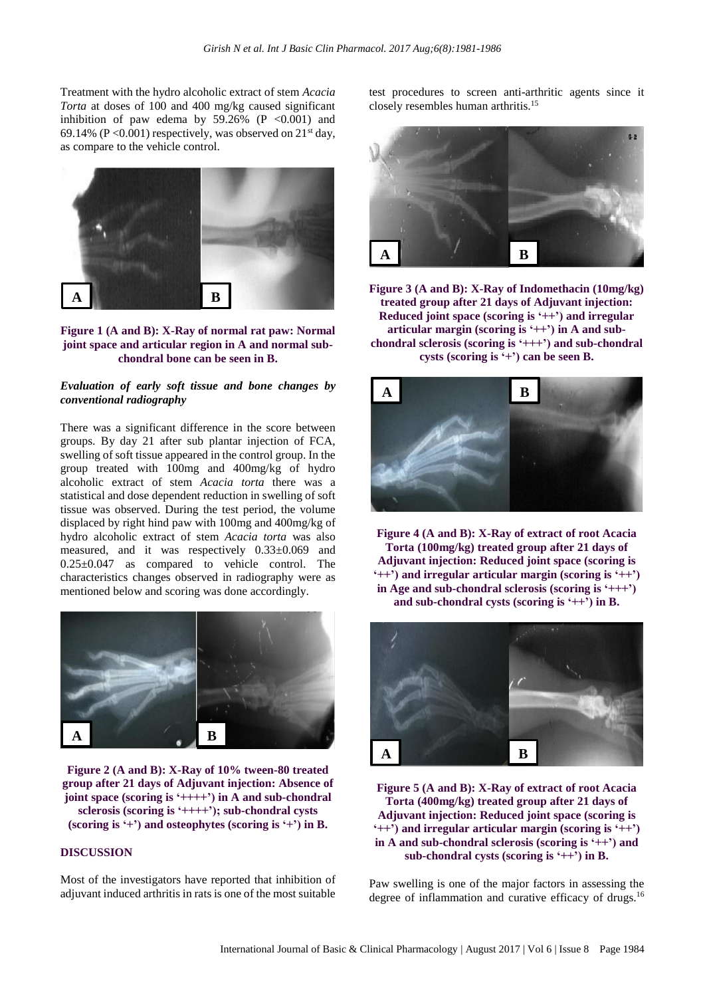Treatment with the hydro alcoholic extract of stem *Acacia Torta* at doses of 100 and 400 mg/kg caused significant inhibition of paw edema by  $59.26\%$  (P <0.001) and 69.14% (P < 0.001) respectively, was observed on  $21<sup>st</sup>$  day, as compare to the vehicle control.





# *Evaluation of early soft tissue and bone changes by conventional radiography*

There was a significant difference in the score between groups. By day 21 after sub plantar injection of FCA, swelling of soft tissue appeared in the control group. In the group treated with 100mg and 400mg/kg of hydro alcoholic extract of stem *Acacia torta* there was a statistical and dose dependent reduction in swelling of soft tissue was observed. During the test period, the volume displaced by right hind paw with 100mg and 400mg/kg of hydro alcoholic extract of stem *Acacia torta* was also measured, and it was respectively 0.33±0.069 and 0.25±0.047 as compared to vehicle control. The characteristics changes observed in radiography were as mentioned below and scoring was done accordingly.



**Figure 2 (A and B): X-Ray of 10% tween-80 treated** a a **group after 21 days of Adjuvant injection: Absence of joint space (scoring is '++++') in A and sub-chondral sclerosis (scoring is '++++'); sub-chondral cysts (scoring is '+') and osteophytes (scoring is '+') in B.**

#### **DISCUSSION**

Most of the investigators have reported that inhibition of adjuvant induced arthritis in rats is one of the most suitable test procedures to screen anti-arthritic agents since it closely resembles human arthritis. 15



**Figure 3 (A and B): X-Ray of Indomethacin (10mg/kg)** a a **treated group after 21 days of Adjuvant injection: Reduced joint space (scoring is '++') and irregular articular margin (scoring is '++') in A and subchondral sclerosis (scoring is '+++') and sub-chondral cysts (scoring is '+') can be seen B.**



**Figure 4 (A and B): X-Ray of extract of root Acacia Torta (100mg/kg) treated group after 21 days of Adjuvant injection: Reduced joint space (scoring is '++') and irregular articular margin (scoring is '++') in Age and sub-chondral sclerosis (scoring is '+++') and sub-chondral cysts (scoring is '++') in B.**



**Figure 5 (A and B): X-Ray of extract of root Acacia** a a**Torta (400mg/kg) treated group after 21 days of Adjuvant injection: Reduced joint space (scoring is '++') and irregular articular margin (scoring is '++') in A and sub-chondral sclerosis (scoring is '++') and sub-chondral cysts (scoring is '++') in B.**

Paw swelling is one of the major factors in assessing the degree of inflammation and curative efficacy of drugs.<sup>16</sup>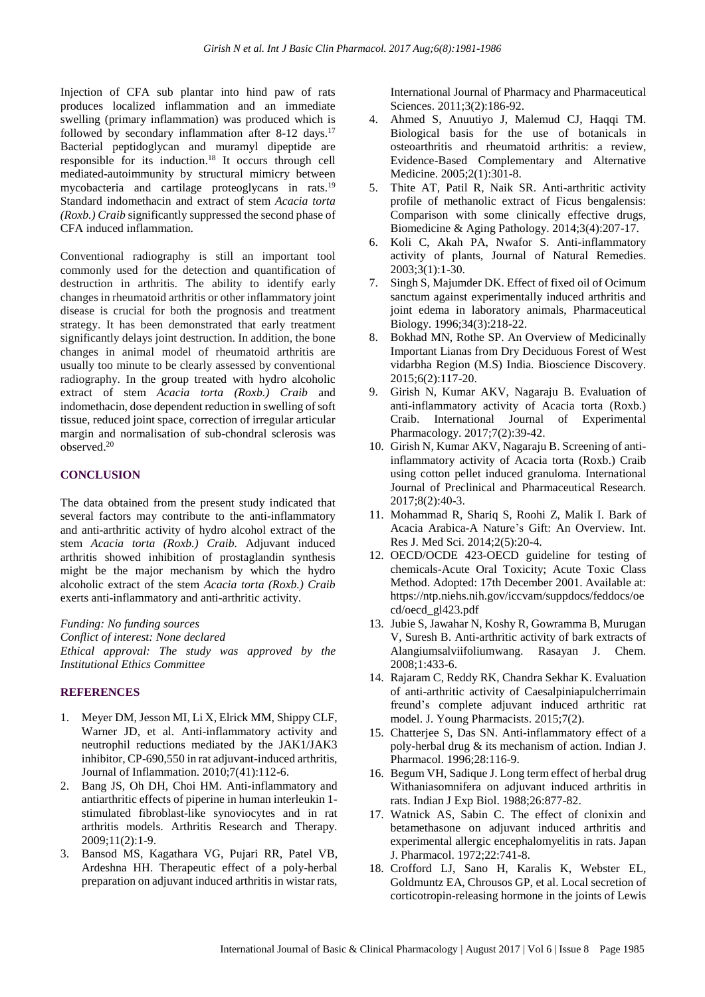Injection of CFA sub plantar into hind paw of rats produces localized inflammation and an immediate swelling (primary inflammation) was produced which is followed by secondary inflammation after 8-12 days.<sup>17</sup> Bacterial peptidoglycan and muramyl dipeptide are responsible for its induction. <sup>18</sup> It occurs through cell mediated-autoimmunity by structural mimicry between mycobacteria and cartilage proteoglycans in rats.<sup>19</sup> Standard indomethacin and extract of stem *Acacia torta (Roxb.) Craib* significantly suppressed the second phase of CFA induced inflammation.

Conventional radiography is still an important tool commonly used for the detection and quantification of destruction in arthritis. The ability to identify early changes in rheumatoid arthritis or other inflammatory joint disease is crucial for both the prognosis and treatment strategy. It has been demonstrated that early treatment significantly delays joint destruction. In addition, the bone changes in animal model of rheumatoid arthritis are usually too minute to be clearly assessed by conventional radiography. In the group treated with hydro alcoholic extract of stem *Acacia torta (Roxb.) Craib* and indomethacin, dose dependent reduction in swelling of soft tissue, reduced joint space, correction of irregular articular margin and normalisation of sub-chondral sclerosis was observed. 20

### **CONCLUSION**

The data obtained from the present study indicated that several factors may contribute to the anti-inflammatory and anti-arthritic activity of hydro alcohol extract of the stem *Acacia torta (Roxb.) Craib.* Adjuvant induced arthritis showed inhibition of prostaglandin synthesis might be the major mechanism by which the hydro alcoholic extract of the stem *Acacia torta (Roxb.) Craib* exerts anti-inflammatory and anti-arthritic activity.

*Funding: No funding sources Conflict of interest: None declared*

*Ethical approval: The study was approved by the Institutional Ethics Committee*

#### **REFERENCES**

- 1. Meyer DM, Jesson MI, Li X, Elrick MM, Shippy CLF, Warner JD, et al. Anti-inflammatory activity and neutrophil reductions mediated by the JAK1/JAK3 inhibitor, CP-690,550 in rat adjuvant-induced arthritis, Journal of Inflammation. 2010;7(41):112-6.
- 2. Bang JS, Oh DH, Choi HM. Anti-inflammatory and antiarthritic effects of piperine in human interleukin 1 stimulated fibroblast-like synoviocytes and in rat arthritis models. Arthritis Research and Therapy. 2009;11(2):1-9.
- 3. Bansod MS, Kagathara VG, Pujari RR, Patel VB, Ardeshna HH. Therapeutic effect of a poly-herbal preparation on adjuvant induced arthritis in wistar rats,

International Journal of Pharmacy and Pharmaceutical Sciences. 2011;3(2):186-92.

- 4. Ahmed S, Anuutiyo J, Malemud CJ, Haqqi TM. Biological basis for the use of botanicals in osteoarthritis and rheumatoid arthritis: a review, Evidence-Based Complementary and Alternative Medicine. 2005;2(1):301-8.
- 5. Thite AT, Patil R, Naik SR. Anti-arthritic activity profile of methanolic extract of Ficus bengalensis: Comparison with some clinically effective drugs, Biomedicine & Aging Pathology. 2014;3(4):207-17.
- 6. Koli C, Akah PA, Nwafor S. Anti-inflammatory activity of plants, Journal of Natural Remedies. 2003;3(1):1-30.
- 7. Singh S, Majumder DK. Effect of fixed oil of Ocimum sanctum against experimentally induced arthritis and joint edema in laboratory animals, Pharmaceutical Biology. 1996;34(3):218-22.
- 8. Bokhad MN, Rothe SP. An Overview of Medicinally Important Lianas from Dry Deciduous Forest of West vidarbha Region (M.S) India. Bioscience Discovery. 2015;6(2):117-20.
- 9. Girish N, Kumar AKV, Nagaraju B. Evaluation of anti-inflammatory activity of Acacia torta (Roxb.) Craib. International Journal of Experimental Pharmacology. 2017;7(2):39-42.
- 10. Girish N, Kumar AKV, Nagaraju B. Screening of antiinflammatory activity of Acacia torta (Roxb.) Craib using cotton pellet induced granuloma. International Journal of Preclinical and Pharmaceutical Research. 2017;8(2):40-3.
- 11. Mohammad R, Shariq S, Roohi Z, Malik I. Bark of Acacia Arabica-A Nature's Gift: An Overview. Int. Res J. Med Sci. 2014;2(5):20-4.
- 12. OECD/OCDE 423-OECD guideline for testing of chemicals-Acute Oral Toxicity; Acute Toxic Class Method. Adopted: 17th December 2001. Available at: https://ntp.niehs.nih.gov/iccvam/suppdocs/feddocs/oe cd/oecd\_gl423.pdf
- 13. Jubie S, Jawahar N, Koshy R, Gowramma B, Murugan V, Suresh B. Anti-arthritic activity of bark extracts of Alangiumsalviifoliumwang. Rasayan J. Chem. 2008;1:433-6.
- 14. Rajaram C, Reddy RK, Chandra Sekhar K. Evaluation of anti-arthritic activity of Caesalpiniapulcherrimain freund's complete adjuvant induced arthritic rat model. J. Young Pharmacists. 2015;7(2).
- 15. Chatterjee S, Das SN. Anti-inflammatory effect of a poly-herbal drug & its mechanism of action. Indian J. Pharmacol. 1996;28:116-9.
- 16. Begum VH, Sadique J. Long term effect of herbal drug Withaniasomnifera on adjuvant induced arthritis in rats. Indian J Exp Biol. 1988;26:877-82.
- 17. Watnick AS, Sabin C. The effect of clonixin and betamethasone on adjuvant induced arthritis and experimental allergic encephalomyelitis in rats. Japan J. Pharmacol. 1972;22:741-8.
- 18. Crofford LJ, Sano H, Karalis K, Webster EL, Goldmuntz EA, Chrousos GP, et al. Local secretion of corticotropin-releasing hormone in the joints of Lewis